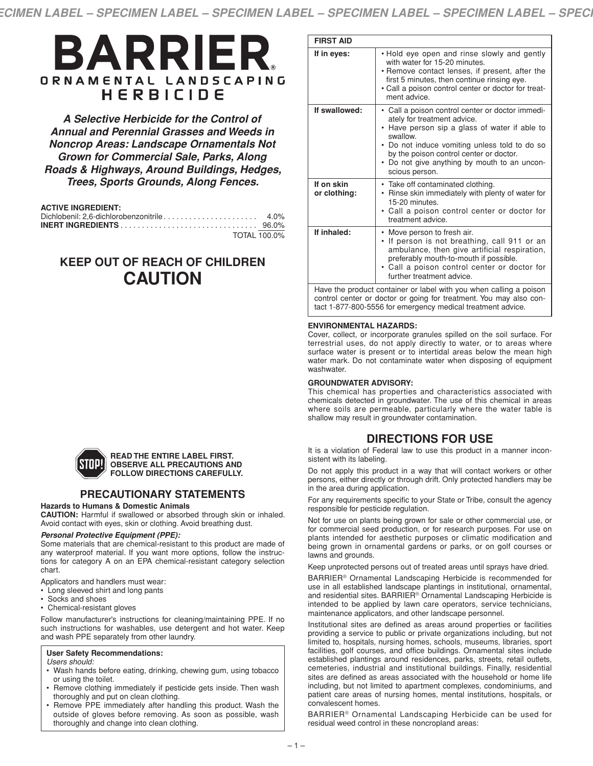# BARRIER ORNAMENTAL LANDSCAPING HERBICIDE

*A Selective Herbicide for the Control of Annual and Perennial Grasses and Weeds in Noncrop Areas: Landscape Ornamentals Not Grown for Commercial Sale, Parks, Along Roads & Highways, Around Buildings, Hedges, Trees, Sports Grounds, Along Fences.*

#### **ACTIVE INGREDIENT:**

| TOTAL 100.0% |  |
|--------------|--|

# **KEEP OUT OF REACH OF CHILDREN CAUTION**

| <b>FIRST AID</b>           |                                                                                                                                                                                                                                                                                                                       |
|----------------------------|-----------------------------------------------------------------------------------------------------------------------------------------------------------------------------------------------------------------------------------------------------------------------------------------------------------------------|
| If in eyes:                | . Hold eye open and rinse slowly and gently<br>with water for 15-20 minutes.<br>• Remove contact lenses, if present, after the<br>first 5 minutes, then continue rinsing eye.<br>• Call a poison control center or doctor for treat-<br>ment advice.                                                                  |
| If swallowed:              | • Call a poison control center or doctor immedi-<br>ately for treatment advice.<br>Have person sip a glass of water if able to<br>$\bullet$<br>swallow.<br>• Do not induce vomiting unless told to do so<br>by the poison control center or doctor.<br>• Do not give anything by mouth to an uncon-<br>scious person. |
| If on skin<br>or clothing: | • Take off contaminated clothing.<br>• Rinse skin immediately with plenty of water for<br>15-20 minutes.<br>• Call a poison control center or doctor for<br>treatment advice.                                                                                                                                         |
| If inhaled:                | • Move person to fresh air.<br>• If person is not breathing, call 911 or an<br>ambulance, then give artificial respiration,<br>preferably mouth-to-mouth if possible.<br>• Call a poison control center or doctor for<br>further treatment advice.                                                                    |
|                            | Have the product container or label with you when calling a poison<br>control center or doctor or going for treatment. You may also con-<br>tact 1-877-800-5556 for emergency medical treatment advice.                                                                                                               |

#### **ENVIRONMENTAL HAZARDS:**

Cover, collect, or incorporate granules spilled on the soil surface. For terrestrial uses, do not apply directly to water, or to areas where surface water is present or to intertidal areas below the mean high water mark. Do not contaminate water when disposing of equipment washwater.

#### **GROUNDWATER ADVISORY:**

This chemical has properties and characteristics associated with chemicals detected in groundwater. The use of this chemical in areas where soils are permeable, particularly where the water table is shallow may result in groundwater contamination.

# **DIRECTIONS FOR USE**

It is a violation of Federal law to use this product in a manner inconsistent with its labeling.

Do not apply this product in a way that will contact workers or other persons, either directly or through drift. Only protected handlers may be in the area during application.

For any requirements specific to your State or Tribe, consult the agency responsible for pesticide regulation.

Not for use on plants being grown for sale or other commercial use, or for commercial seed production, or for research purposes. For use on plants intended for aesthetic purposes or climatic modification and being grown in ornamental gardens or parks, or on golf courses or lawns and grounds.

Keep unprotected persons out of treated areas until sprays have dried.

BARRIER® Ornamental Landscaping Herbicide is recommended for use in all established landscape plantings in institutional, ornamental, and residential sites. BARRIER® Ornamental Landscaping Herbicide is intended to be applied by lawn care operators, service technicians, maintenance applicators, and other landscape personnel.

Institutional sites are defined as areas around properties or facilities providing a service to public or private organizations including, but not limited to, hospitals, nursing homes, schools, museums, libraries, sport facilities, golf courses, and office buildings. Ornamental sites include established plantings around residences, parks, streets, retail outlets, cemeteries, industrial and institutional buildings. Finally, residential sites are defined as areas associated with the household or home life including, but not limited to apartment complexes, condominiums, and patient care areas of nursing homes, mental institutions, hospitals, or convalescent homes.

BARRIER® Ornamental Landscaping Herbicide can be used for residual weed control in these noncropland areas:



#### **READ THE ENTIRE LABEL FIRST. OBSERVE ALL PRECAUTIONS AND FOLLOW DIRECTIONS CAREFULLY.**

# **PRECAUTIONARY STATEMENTS**

#### **Hazards to Humans & Domestic Animals**

**CAUTION:** Harmful if swallowed or absorbed through skin or inhaled. Avoid contact with eyes, skin or clothing. Avoid breathing dust.

#### *Personal Protective Equipment (PPE):*

Some materials that are chemical-resistant to this product are made of any waterproof material. If you want more options, follow the instructions for category A on an EPA chemical-resistant category selection chart.

Applicators and handlers must wear:

- Long sleeved shirt and long pants
- Socks and shoes
- Chemical-resistant gloves

Follow manufacturer's instructions for cleaning/maintaining PPE. If no such instructions for washables, use detergent and hot water. Keep and wash PPE separately from other laundry.

#### **User Safety Recommendations:**

*Users should:*

- Wash hands before eating, drinking, chewing gum, using tobacco or using the toilet.
- Remove clothing immediately if pesticide gets inside. Then wash thoroughly and put on clean clothing.
- Remove PPE immediately after handling this product. Wash the outside of gloves before removing. As soon as possible, wash thoroughly and change into clean clothing.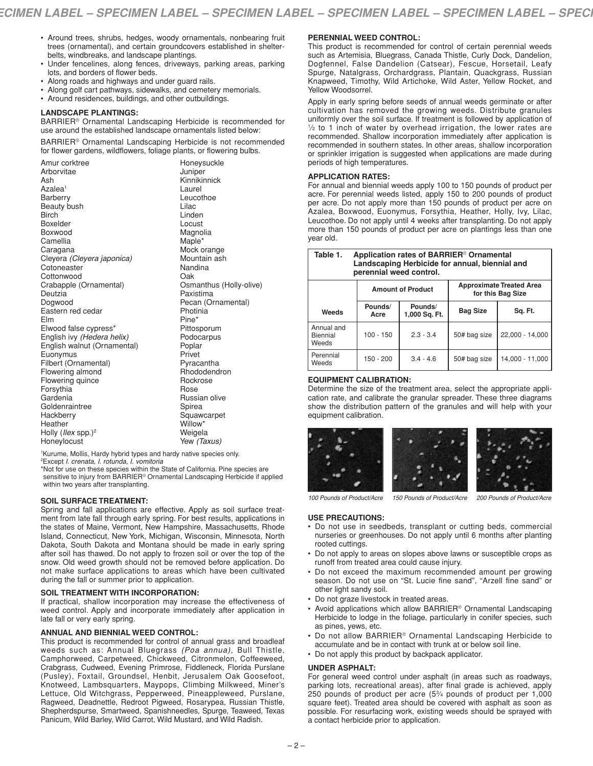- Around trees, shrubs, hedges, woody ornamentals, nonbearing fruit trees (ornamental), and certain groundcovers established in shelterbelts, windbreaks, and landscape plantings.
- Under fencelines, along fences, driveways, parking areas, parking lots, and borders of flower beds.
- Along roads and highways and under guard rails.
- Along golf cart pathways, sidewalks, and cemetery memorials.
- Around residences, buildings, and other outbuildings.

#### **LANDSCAPE PLANTINGS:**

BARRIER® Ornamental Landscaping Herbicide is recommended for use around the established landscape ornamentals listed below:

BARRIER® Ornamental Landscaping Herbicide is not recommended for flower gardens, wildflowers, foliage plants, or flowering bulbs.

| Amur corktree                          | Honeysuckle                                               |
|----------------------------------------|-----------------------------------------------------------|
| Arborvitae                             | Juniper                                                   |
| Ash                                    | Kinnikinnick                                              |
| Azalea <sup>1</sup>                    | Laurel                                                    |
| Barberry                               | Leucothoe                                                 |
| Beauty bush                            | Lilac                                                     |
| <b>Birch</b>                           | Linden                                                    |
| <b>Boxelder</b>                        | Locust                                                    |
| Boxwood                                | Magnolia                                                  |
| Camellia                               | Maple*                                                    |
| Caragana                               | Mock orange                                               |
| Cleyera (Cleyera japonica)             | Mountain ash                                              |
| Cotoneaster                            | Nandina                                                   |
| Cottonwood                             | Oak                                                       |
| Crabapple (Ornamental)                 | Osmanthus (Holly-olive)                                   |
| Deutzia                                | Paxistima                                                 |
| Dogwood                                | Pecan (Ornamental)                                        |
| Eastern red cedar                      | Photinia                                                  |
| Flm                                    | Pine*                                                     |
| Elwood false cypress*                  | Pittosporum                                               |
| English ivy (Hedera helix)             | Podocarpus                                                |
| English walnut (Ornamental)            | Poplar                                                    |
| Euonymus                               | Privet                                                    |
| Filbert (Ornamental)                   | Pyracantha                                                |
| Flowering almond                       | Rhododendron                                              |
| Flowering quince                       | Rockrose                                                  |
| Forsythia                              | Rose                                                      |
| Gardenia                               | Russian olive                                             |
| Goldenraintree                         | Spirea                                                    |
| Hackberry                              | Squawcarpet                                               |
| Heather                                | Willow*                                                   |
| Holly ( <i>llex</i> spp.) <sup>2</sup> | Weigela                                                   |
| Honeylocust                            | Yew (Taxus)                                               |
|                                        | to a children allows a different contracts of the section |

1Kurume, Mollis, Hardy hybrid types and hardy native species only. 2Except *I. crenata, I. rotunda, I. vomitoria*

\*Not for use on these species within the State of California. Pine species are sensitive to injury from BARRIER® Ornamental Landscaping Herbicide if applied within two years after transplanting.

#### **SOIL SURFACE TREATMENT:**

Spring and fall applications are effective. Apply as soil surface treatment from late fall through early spring. For best results, applications in the states of Maine, Vermont, New Hampshire, Massachusetts, Rhode Island, Connecticut, New York, Michigan, Wisconsin, Minnesota, North Dakota, South Dakota and Montana should be made in early spring after soil has thawed. Do not apply to frozen soil or over the top of the snow. Old weed growth should not be removed before application. Do not make surface applications to areas which have been cultivated during the fall or summer prior to application.

#### **SOIL TREATMENT WITH INCORPORATION:**

If practical, shallow incorporation may increase the effectiveness of weed control. Apply and incorporate immediately after application in late fall or very early spring.

#### **ANNUAL AND BIENNIAL WEED CONTROL:**

This product is recommended for control of annual grass and broadleaf weeds such as: Annual Bluegrass *(Poa annua)*, Bull Thistle, Camphorweed, Carpetweed, Chickweed, Citronmelon, Coffeeweed, Crabgrass, Cudweed, Evening Primrose, Fiddleneck, Florida Purslane (Pusley), Foxtail, Groundsel, Henbit, Jerusalem Oak Goosefoot, Knotweed, Lambsquarters, Maypops, Climbing Milkweed, Miner's Lettuce, Old Witchgrass, Pepperweed, Pineappleweed, Purslane, Ragweed, Deadnettle, Redroot Pigweed, Rosarypea, Russian Thistle, Shepherdspurse, Smartweed, Spanishneedles, Spurge, Teaweed, Texas Panicum, Wild Barley, Wild Carrot, Wild Mustard, and Wild Radish.

#### **PERENNIAL WEED CONTROL:**

This product is recommended for control of certain perennial weeds such as Artemisia, Bluegrass, Canada Thistle, Curly Dock, Dandelion, Dogfennel, False Dandelion (Catsear), Fescue, Horsetail, Leafy Spurge, Natalgrass, Orchardgrass, Plantain, Quackgrass, Russian Knapweed, Timothy, Wild Artichoke, Wild Aster, Yellow Rocket, and Yellow Woodsorrel.

Apply in early spring before seeds of annual weeds germinate or after cultivation has removed the growing weeds. Distribute granules uniformly over the soil surface. If treatment is followed by application of  $1/2$  to 1 inch of water by overhead irrigation, the lower rates are recommended. Shallow incorporation immediately after application is recommended in southern states. In other areas, shallow incorporation or sprinkler irrigation is suggested when applications are made during periods of high temperatures.

#### **APPLICATION RATES:**

For annual and biennial weeds apply 100 to 150 pounds of product per acre. For perennial weeds listed, apply 150 to 200 pounds of product per acre. Do not apply more than 150 pounds of product per acre on Azalea, Boxwood, Euonymus, Forsythia, Heather, Holly, Ivy, Lilac, Leucothoe. Do not apply until 4 weeks after transplanting. Do not apply more than 150 pounds of product per acre on plantings less than one year old.

| Table 1.<br>Application rates of BARRIER <sup>®</sup> Ornamental<br>Landscaping Herbicide for annual, biennial and<br>perennial weed control. |                          |                          |                 |                                                      |  |  |
|-----------------------------------------------------------------------------------------------------------------------------------------------|--------------------------|--------------------------|-----------------|------------------------------------------------------|--|--|
|                                                                                                                                               | <b>Amount of Product</b> |                          |                 | <b>Approximate Treated Area</b><br>for this Bag Size |  |  |
| Weeds                                                                                                                                         | Pounds/<br>Acre          | Pounds/<br>1,000 Sq. Ft. | <b>Bag Size</b> | Sq. Ft.                                              |  |  |
| Annual and<br>Biennial<br>Weeds                                                                                                               | $100 - 150$              | $2.3 - 3.4$              | 50# bag size    | 22,000 - 14,000                                      |  |  |
| Perennial<br>Weeds                                                                                                                            | 150 - 200                | $34 - 46$                | 50# bag size    | 14,000 - 11,000                                      |  |  |

#### **EQUIPMENT CALIBRATION:**

Determine the size of the treatment area, select the appropriate application rate, and calibrate the granular spreader. These three diagrams show the distribution pattern of the granules and will help with your equipment calibration.







*100 Pounds of Product/Acre 150 Pounds of Product/Acre 200 Pounds of Product/Acre*

#### **USE PRECAUTIONS:**

- Do not use in seedbeds, transplant or cutting beds, commercial nurseries or greenhouses. Do not apply until 6 months after planting rooted cuttings.
- Do not apply to areas on slopes above lawns or susceptible crops as runoff from treated area could cause injury.
- Do not exceed the maximum recommended amount per growing season. Do not use on "St. Lucie fine sand", "Arzell fine sand" or other light sandy soil.
- Do not graze livestock in treated areas.
- Avoid applications which allow BARRIER® Ornamental Landscaping Herbicide to lodge in the foliage, particularly in conifer species, such as pines, yews, etc.
- Do not allow BARRIER® Ornamental Landscaping Herbicide to accumulate and be in contact with trunk at or below soil line.
- Do not apply this product by backpack applicator.

#### **UNDER ASPHALT:**

For general weed control under asphalt (in areas such as roadways, parking lots, recreational areas), after final grade is achieved, apply 250 pounds of product per acre (53⁄4 pounds of product per 1,000 square feet). Treated area should be covered with asphalt as soon as possible. For resurfacing work, existing weeds should be sprayed with a contact herbicide prior to application.